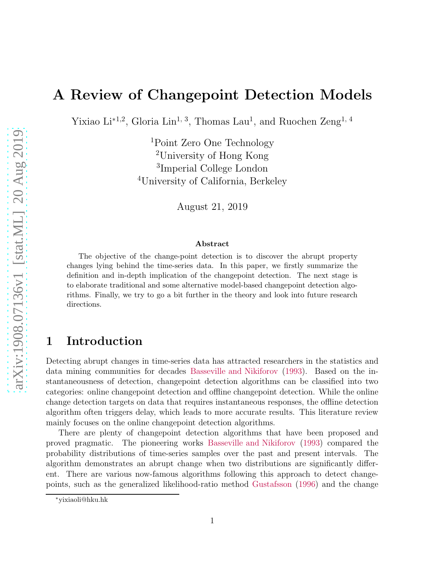# A Review of Changepoint Detection Models

Yixiao Li<sup>\*1,2</sup>, Gloria Lin<sup>1, 3</sup>, Thomas Lau<sup>1</sup>, and Ruochen Zeng<sup>1, 4</sup>

Point Zero One Technology University of Hong Kong Imperial College London University of California, Berkeley

August 21, 2019

#### Abstract

The objective of the change-point detection is to discover the abrupt property changes lying behind the time-series data. In this paper, we firstly summarize the definition and in-depth implication of the changepoint detection. The next stage is to elaborate traditional and some alternative model-based changepoint detection algorithms. Finally, we try to go a bit further in the theory and look into future research directions.

## 1 Introduction

Detecting abrupt changes in time-series data has attracted researchers in the statistics and data mining communities for decades [Basseville and Nikiforov](#page-8-0) [\(1993](#page-8-0)). Based on the instantaneousness of detection, changepoint detection algorithms can be classified into two categories: online changepoint detection and offline changepoint detection. While the online change detection targets on data that requires instantaneous responses, the offline detection algorithm often triggers delay, which leads to more accurate results. This literature review mainly focuses on the online changepoint detection algorithms.

There are plenty of changepoint detection algorithms that have been proposed and proved pragmatic. The pioneering works [Basseville and Nikiforov](#page-8-0) [\(1993](#page-8-0)) compared the probability distributions of time-series samples over the past and present intervals. The algorithm demonstrates an abrupt change when two distributions are significantly different. There are various now-famous algorithms following this approach to detect changepoints, such as the generalized likelihood-ratio method [Gustafsson](#page-9-0) [\(1996\)](#page-9-0) and the change

<sup>∗</sup>yixiaoli@hku.hk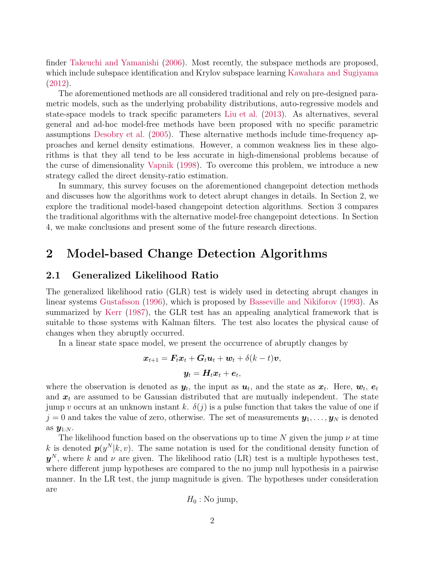finder [Takeuchi and Yamanishi](#page-10-0) [\(2006\)](#page-10-0). Most recently, the subspace methods are proposed, which include subspace identification and Krylov subspace learning [Kawahara and Sugiyama](#page-9-1) [\(2012\)](#page-9-1).

The aforementioned methods are all considered traditional and rely on pre-designed parametric models, such as the underlying probability distributions, auto-regressive models and state-space models to track specific parameters [Liu et al.](#page-10-1) [\(2013](#page-10-1)). As alternatives, several general and ad-hoc model-free methods have been proposed with no specific parametric assumptions [Desobry et al.](#page-9-2) [\(2005\)](#page-9-2). These alternative methods include time-frequency approaches and kernel density estimations. However, a common weakness lies in these algorithms is that they all tend to be less accurate in high-dimensional problems because of the curse of dimensionality [Vapnik](#page-10-2) [\(1998\)](#page-10-2). To overcome this problem, we introduce a new strategy called the direct density-ratio estimation.

In summary, this survey focuses on the aforementioned changepoint detection methods and discusses how the algorithms work to detect abrupt changes in details. In Section 2, we explore the traditional model-based changepoint detection algorithms. Section 3 compares the traditional algorithms with the alternative model-free changepoint detections. In Section 4, we make conclusions and present some of the future research directions.

## 2 Model-based Change Detection Algorithms

### 2.1 Generalized Likelihood Ratio

The generalized likelihood ratio (GLR) test is widely used in detecting abrupt changes in linear systems [Gustafsson](#page-9-0) [\(1996](#page-9-0)), which is proposed by [Basseville and Nikiforov](#page-8-0) [\(1993\)](#page-8-0). As summarized by [Kerr](#page-9-3) [\(1987](#page-9-3)), the GLR test has an appealing analytical framework that is suitable to those systems with Kalman filters. The test also locates the physical cause of changes when they abruptly occurred.

In a linear state space model, we present the occurrence of abruptly changes by

$$
\boldsymbol{x}_{t+1} = \boldsymbol{F}_t \boldsymbol{x}_t + \boldsymbol{G}_t \boldsymbol{u}_t + \boldsymbol{w}_t + \delta(k-t) \boldsymbol{v},
$$
  

$$
\boldsymbol{y}_t = \boldsymbol{H}_t \boldsymbol{x}_t + \boldsymbol{e}_t,
$$

where the observation is denoted as  $y_t$ , the input as  $u_t$ , and the state as  $x_t$ . Here,  $w_t$ ,  $e_t$ and  $x_t$  are assumed to be Gaussian distributed that are mutually independent. The state jump v occurs at an unknown instant k.  $\delta(j)$  is a pulse function that takes the value of one if  $j = 0$  and takes the value of zero, otherwise. The set of measurements  $y_1, \ldots, y_N$  is denoted as  $\mathbf{y}_{1:N}$ .

The likelihood function based on the observations up to time N given the jump  $\nu$  at time k is denoted  $p(y^N|k, v)$ . The same notation is used for the conditional density function of  $y^N$ , where k and  $\nu$  are given. The likelihood ratio (LR) test is a multiple hypotheses test, where different jump hypotheses are compared to the no jump null hypothesis in a pairwise manner. In the LR test, the jump magnitude is given. The hypotheses under consideration are

$$
H_0:\mathrm{No\ jump},
$$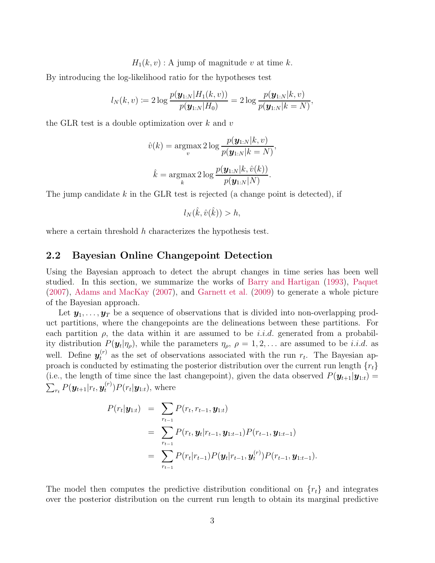$H_1(k, v)$ : A jump of magnitude v at time k.

By introducing the log-likelihood ratio for the hypotheses test

$$
l_N(k, v) := 2 \log \frac{p(\mathbf{y}_{1:N}|H_1(k, v))}{p(\mathbf{y}_{1:N}|H_0)} = 2 \log \frac{p(\mathbf{y}_{1:N}|k, v)}{p(\mathbf{y}_{1:N}|k = N)},
$$

the GLR test is a double optimization over  $k$  and  $v$ 

$$
\hat{v}(k) = \underset{v}{\operatorname{argmax}} 2 \log \frac{p(\mathbf{y}_{1:N}|k, v)}{p(\mathbf{y}_{1:N}|k = N)},
$$

$$
\hat{k} = \underset{k}{\operatorname{argmax}} 2 \log \frac{p(\mathbf{y}_{1:N}|k, \hat{v}(k))}{p(\mathbf{y}_{1:N}|N)}.
$$

The jump candidate k in the GLR test is rejected (a change point is detected), if

$$
l_N(\hat{k},\hat{v}(\hat{k})) > h,
$$

where a certain threshold  $h$  characterizes the hypothesis test.

### 2.2 Bayesian Online Changepoint Detection

Using the Bayesian approach to detect the abrupt changes in time series has been well studied. In this section, we summarize the works of [Barry and Hartigan](#page-8-1) [\(1993](#page-8-1)), [Paquet](#page-10-3) [\(2007\)](#page-10-3), [Adams and MacKay](#page-8-2) [\(2007\)](#page-8-2), and [Garnett et al.](#page-9-4) [\(2009](#page-9-4)) to generate a whole picture of the Bayesian approach.

Let  $y_1, \ldots, y_T$  be a sequence of observations that is divided into non-overlapping product partitions, where the changepoints are the delineations between these partitions. For each partition  $\rho$ , the data within it are assumed to be *i.i.d.* generated from a probability distribution  $P(\mathbf{y}_t | \eta_\rho)$ , while the parameters  $\eta_\rho$ ,  $\rho = 1, 2, \ldots$  are assumed to be *i.i.d.* as well. Define  $y_t^{(r)}$  as the set of observations associated with the run  $r_t$ . The Bayesian approach is conducted by estimating the posterior distribution over the current run length  ${r_t}$ (i.e., the length of time since the last changepoint), given the data observed  $P(\mathbf{y}_{t+1}|\mathbf{y}_{1:t}) =$  $\sum_{r_t} P(\boldsymbol{y}_{t+1}|r_t, \boldsymbol{y}_t^{(r)})$  $t^{(r)}$ ) $P(r_t|\boldsymbol{y}_{1:t})$ , where

$$
P(r_t|\mathbf{y}_{1:t}) = \sum_{r_{t-1}} P(r_t, r_{t-1}, \mathbf{y}_{1:t})
$$
  
= 
$$
\sum_{r_{t-1}} P(r_t, \mathbf{y}_t|r_{t-1}, \mathbf{y}_{1:t-1}) P(r_{t-1}, \mathbf{y}_{1:t-1})
$$
  
= 
$$
\sum_{r_{t-1}} P(r_t|r_{t-1}) P(\mathbf{y}_t|r_{t-1}, \mathbf{y}_t^{(r)}) P(r_{t-1}, \mathbf{y}_{1:t-1}).
$$

The model then computes the predictive distribution conditional on  $\{r_t\}$  and integrates over the posterior distribution on the current run length to obtain its marginal predictive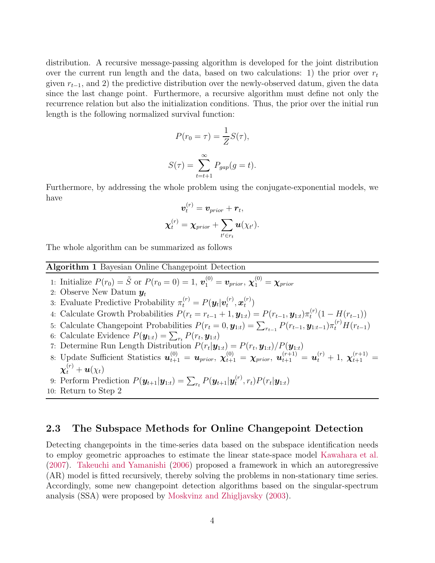distribution. A recursive message-passing algorithm is developed for the joint distribution over the current run length and the data, based on two calculations: 1) the prior over  $r_t$ given  $r_{t-1}$ , and 2) the predictive distribution over the newly-observed datum, given the data since the last change point. Furthermore, a recursive algorithm must define not only the recurrence relation but also the initialization conditions. Thus, the prior over the initial run length is the following normalized survival function:

$$
P(r_0 = \tau) = \frac{1}{Z}S(\tau),
$$
  

$$
S(\tau) = \sum_{t=t+1}^{\infty} P_{gap}(g = t).
$$

Furthermore, by addressing the whole problem using the conjugate-exponential models, we have

$$
\boldsymbol{v}_t^{(r)} = \boldsymbol{v}_{prior} + \boldsymbol{r}_t, \\ \boldsymbol{\chi}_t^{(r)} = \boldsymbol{\chi}_{prior} + \sum_{t' \in r_t} \boldsymbol{u}(\chi_{t'}).
$$

The whole algorithm can be summarized as follows

#### Algorithm 1 Bayesian Online Changepoint Detection 1: Initialize  $P(r_0) = \tilde{S}$  or  $P(r_0 = 0) = 1$ ,  $\mathbf{v}_1^{(0)} = \mathbf{v}_{prior}$ ,  $\chi_1^{(0)} = \chi_{prior}$ 2: Observe New Datum  $y_t$ 3: Evaluate Predictive Probability  $\pi_t^{(r)} = P(\mathbf{y}_t | \mathbf{v}_t^{(r)})$  $t^{(r)}, \boldsymbol{x}^{(r)}_t$  $\binom{(T)}{t}$ 4: Calculate Growth Probabilities  $P(r_t = r_{t-1} + 1, y_{1:t}) = P(r_{t-1}, y_{1:t})\pi_t^{(r)}$  $t^{(r)}(1-H(r_{t-1}))$ 5: Calculate Changepoint Probabilities  $P(r_t = 0, \mathbf{y}_{1:t}) = \sum_{r_{t-1}} P(r_{t-1}, \mathbf{y}_{1:t-1}) \pi_t^{(r)} H(r_{t-1})$ 6: Calculate Evidence  $P(\mathbf{y}_{1:t}) = \sum_{r_t} P(r_t, \mathbf{y}_{1:t})$  $r_t$ 7: Determine Run Length Distribution  $P(r_t|\mathbf{y}_{1:t}) = P(r_t, \mathbf{y}_{1:t})/P(\mathbf{y}_{1:t})$ 8: Update Sufficient Statistics  $u_{t+1}^{(0)} = u_{prior}$ ,  $\chi_{t+1}^{(0)} = \chi_{prior}$ ,  $u_{t+1}^{(r+1)} = u_t^{(r)} + 1$ ,  $\chi_{t+1}^{(r+1)} =$  $\boldsymbol{\chi}_t^{\left(r\right)}+\boldsymbol{u}(\chi_t)$ 9: Perform Prediction  $P(\mathbf{y}_{t+1}|\mathbf{y}_{1:t}) = \sum_{r_t} P(\mathbf{y}_{t+1}|\mathbf{y}_t^{(r)})$  $(t^{(r)}, r_t) P(r_t | \bm{y}_{1:t})$

10: Return to Step 2

## 2.3 The Subspace Methods for Online Changepoint Detection

Detecting changepoints in the time-series data based on the subspace identification needs to employ geometric approaches to estimate the linear state-space model [Kawahara et al.](#page-9-5) [\(2007\)](#page-9-5). [Takeuchi and Yamanishi](#page-10-0) [\(2006\)](#page-10-0) proposed a framework in which an autoregressive (AR) model is fitted recursively, thereby solving the problems in non-stationary time series. Accordingly, some new changepoint detection algorithms based on the singular-spectrum analysis (SSA) were proposed by [Moskvinz and Zhigljavsky](#page-10-4) [\(2003](#page-10-4)).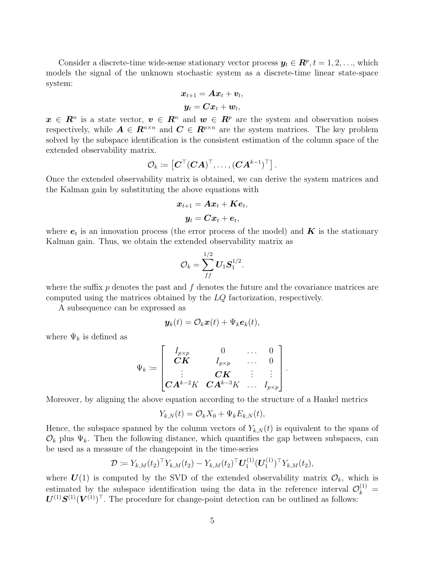Consider a discrete-time wide-sense stationary vector process  $y_t \in \mathbb{R}^p$ ,  $t = 1, 2, \ldots$ , which models the signal of the unknown stochastic system as a discrete-time linear state-space system:

$$
\begin{aligned} \boldsymbol{x}_{t+1} &= \boldsymbol{A} \boldsymbol{x}_t + \boldsymbol{v}_t, \\ \boldsymbol{y}_t &= \boldsymbol{C} \boldsymbol{x}_t + \boldsymbol{w}_t, \end{aligned}
$$

 $x \in \mathbb{R}^n$  is a state vector,  $v \in \mathbb{R}^n$  and  $w \in \mathbb{R}^p$  are the system and observation noises respectively, while  $A \in \mathbb{R}^{n \times n}$  and  $C \in \mathbb{R}^{p \times n}$  are the system matrices. The key problem solved by the subspace identification is the consistent estimation of the column space of the extended observability matrix.

$$
\mathcal{O}_k \coloneqq \left[\pmb{C}^\top (\pmb{C}\pmb{A})^\top,\ldots, (\pmb{C}\pmb{A}^{k-1})^\top\right].
$$

Once the extended observability matrix is obtained, we can derive the system matrices and the Kalman gain by substituting the above equations with

$$
\begin{aligned} \boldsymbol{x}_{t+1} &= \boldsymbol{A} \boldsymbol{x}_t + \boldsymbol{K} \boldsymbol{e}_t, \\ \boldsymbol{y}_t &= \boldsymbol{C} \boldsymbol{x}_t + \boldsymbol{e}_t, \end{aligned}
$$

where  $e_t$  is an innovation process (the error process of the model) and  $K$  is the stationary Kalman gain. Thus, we obtain the extended observability matrix as

$$
\mathcal{O}_k = \sum_{ff}^{1/2} \boldsymbol{U}_1 \boldsymbol{S}_1^{1/2}.
$$

where the suffix  $p$  denotes the past and  $f$  denotes the future and the covariance matrices are computed using the matrices obtained by the  $LQ$  factorization, respectively.

A subsequence can be expressed as

$$
\boldsymbol{y}_k(t) = \mathcal{O}_k \boldsymbol{x}(t) + \Psi_k \boldsymbol{e}_k(t),
$$

where  $\Psi_k$  is defined as

$$
\Psi_k \coloneqq \begin{bmatrix} I_{p \times p} & 0 & \dots & 0 \\ C \pmb{K} & I_{p \times p} & \dots & 0 \\ \vdots & C \pmb{K} & \vdots & \vdots \\ C \pmb{A}^{k-2} K & C \pmb{A}^{k-3} K & \dots & I_{p \times p} \end{bmatrix}.
$$

Moreover, by aligning the above equation according to the structure of a Hankel metrics

$$
Y_{k,N}(t) = \mathcal{O}_k X_0 + \Psi_k E_{k,N}(t),
$$

Hence, the subspace spanned by the column vectors of  $Y_{k,N}(t)$  is equivalent to the spans of  $\mathcal{O}_k$  plus  $\Psi_k$ . Then the following distance, which quantifies the gap between subspaces, can be used as a measure of the changepoint in the time-series

$$
\mathcal{D} := Y_{k,M}(t_2)^\top Y_{k,M}(t_2) - Y_{k,M}(t_2)^\top \boldsymbol{U}_1^{(1)} (\boldsymbol{U}_1^{(1)})^\top Y_{k,M}(t_2),
$$

where  $U(1)$  is computed by the SVD of the extended observability matrix  $\mathcal{O}_k$ , which is estimated by the subspace identification using the data in the reference interval  $\mathcal{O}_k^{(1)} =$  $U^{(1)}S^{(1)}(V^{(1)})^{\top}$ . The procedure for change-point detection can be outlined as follows: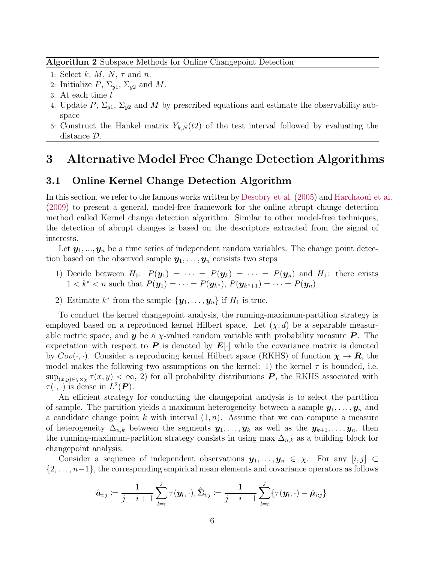#### Algorithm 2 Subspace Methods for Online Changepoint Detection

- 1: Select  $k, M, N, \tau$  and n.
- 2: Initialize  $P, \Sigma_{y1}, \Sigma_{y2}$  and M.
- 3: At each time t
- 4: Update P,  $\Sigma_{y1}$ ,  $\Sigma_{y2}$  and M by prescribed equations and estimate the observability subspace
- 5: Construct the Hankel matrix  $Y_{k,N}(t)$  of the test interval followed by evaluating the distance D.

## 3 Alternative Model Free Change Detection Algorithms

### 3.1 Online Kernel Change Detection Algorithm

In this section, we refer to the famous works written by [Desobry et al.](#page-9-2) [\(2005](#page-9-2)) and [Harchaoui et al.](#page-9-6) [\(2009\)](#page-9-6) to present a general, model-free framework for the online abrupt change detection method called Kernel change detection algorithm. Similar to other model-free techniques, the detection of abrupt changes is based on the descriptors extracted from the signal of interests.

Let  $y_1, ..., y_n$  be a time series of independent random variables. The change point detection based on the observed sample  $y_1, \ldots, y_n$  consists two steps

- 1) Decide between  $H_0: P(\mathbf{y}_1) = \cdots = P(\mathbf{y}_k) = \cdots = P(\mathbf{y}_n)$  and  $H_1:$  there exists  $1 < k^* < n$  such that  $P(\mathbf{y}_1) = \cdots = P(\mathbf{y}_{k^*}), P(\mathbf{y}_{k^*+1}) = \cdots = P(\mathbf{y}_n).$
- 2) Estimate  $k^*$  from the sample  $\{y_1, \ldots, y_n\}$  if  $H_1$  is true.

To conduct the kernel changepoint analysis, the running-maximum-partition strategy is employed based on a reproduced kernel Hilbert space. Let  $(\chi, d)$  be a separable measurable metric space, and **y** be a  $\chi$ -valued random variable with probability measure **P**. The expectation with respect to P is denoted by  $E[\cdot]$  while the covariance matrix is denoted by  $Cov(\cdot, \cdot)$ . Consider a reproducing kernel Hilbert space (RKHS) of function  $\chi \to R$ , the model makes the following two assumptions on the kernel: 1) the kernel  $\tau$  is bounded, i.e.  $\sup_{(x,y)\in\chi\times\chi}\tau(x,y)<\infty$ , 2) for all probability distributions **P**, the RKHS associated with  $\tau(\cdot, \cdot)$  is dense in  $L^2(\mathbf{P})$ .

An efficient strategy for conducting the changepoint analysis is to select the partition of sample. The partition yields a maximum heterogeneity between a sample  $y_1, \ldots, y_n$  and a candidate change point k with interval  $(1, n)$ . Assume that we can compute a measure of heterogeneity  $\Delta_{n,k}$  between the segments  $y_1, \ldots, y_k$  as well as the  $y_{k+1}, \ldots, y_n$ , then the running-maximum-partition strategy consists in using max  $\Delta_{n,k}$  as a building block for changepoint analysis.

Consider a sequence of independent observations  $y_1, \ldots, y_n \in \chi$ . For any  $[i, j] \subset$  $\{2,\ldots,n-1\}$ , the corresponding empirical mean elements and covariance operators as follows

$$
\hat{\boldsymbol{u}}_{i:j} \coloneqq \frac{1}{j-i+1} \sum_{l=i}^j \tau(\boldsymbol{y}_l, \cdot), \hat{\boldsymbol{\Sigma}}_{i:j} \coloneqq \frac{1}{j-i+1} \sum_{l=i}^j \{ \tau(\boldsymbol{y}_l, \cdot) - \hat{\boldsymbol{\mu}}_{i:j} \}.
$$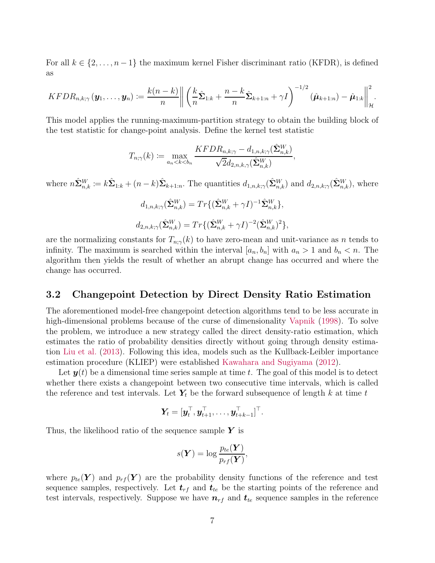For all  $k \in \{2, \ldots, n-1\}$  the maximum kernel Fisher discriminant ratio (KFDR), is defined as

$$
KFDR_{n,k;\gamma}(\boldsymbol{y}_1,\ldots,\boldsymbol{y}_n) := \frac{k(n-k)}{n} \left\| \left( \frac{k}{n} \hat{\boldsymbol{\Sigma}}_{1:k} + \frac{n-k}{n} \hat{\boldsymbol{\Sigma}}_{k+1:n} + \gamma I \right)^{-1/2} (\hat{\boldsymbol{\mu}}_{k+1:n}) - \hat{\boldsymbol{\mu}}_{1:k} \right\|_{\mathcal{H}}^2.
$$

This model applies the running-maximum-partition strategy to obtain the building block of the test statistic for change-point analysis. Define the kernel test statistic

$$
T_{n;\gamma}(k) \coloneqq \max_{a_n < k < b_n} \frac{KFDR_{n,k;\gamma} - d_{1,n,k;\gamma}(\hat{\mathbf{\Sigma}}_{n,k}^W)}{\sqrt{2}d_{2,n,k,\gamma}(\hat{\mathbf{\Sigma}}_{n,k}^W)},
$$

where  $n\hat{\Sigma}_{n,k}^W := k\hat{\Sigma}_{1:k} + (n-k)\hat{\Sigma}_{k+1:n}$ . The quantities  $d_{1,n,k;\gamma}(\hat{\Sigma}_{n,k}^W)$  and  $d_{2,n,k;\gamma}(\hat{\Sigma}_{n,k}^W)$ , where

$$
d_{1,n,k;\gamma}(\hat{\Sigma}_{n,k}^W) = Tr\{(\hat{\Sigma}_{n,k}^W + \gamma I)^{-1} \hat{\Sigma}_{n,k}^W\},
$$
  

$$
d_{2,n,k;\gamma}(\hat{\Sigma}_{n,k}^W) = Tr\{(\hat{\Sigma}_{n,k}^W + \gamma I)^{-2} (\hat{\Sigma}_{n,k}^W)^2\},
$$

are the normalizing constants for  $T_{n;\gamma}(k)$  to have zero-mean and unit-variance as n tends to infinity. The maximum is searched within the interval  $[a_n, b_n]$  with  $a_n > 1$  and  $b_n < n$ . The algorithm then yields the result of whether an abrupt change has occurred and where the change has occurred.

### 3.2 Changepoint Detection by Direct Density Ratio Estimation

The aforementioned model-free changepoint detection algorithms tend to be less accurate in high-dimensional problems because of the curse of dimensionality [Vapnik](#page-10-2) [\(1998\)](#page-10-2). To solve the problem, we introduce a new strategy called the direct density-ratio estimation, which estimates the ratio of probability densities directly without going through density estimation [Liu et al.](#page-10-1) [\(2013](#page-10-1)). Following this idea, models such as the Kullback-Leibler importance estimation procedure (KLIEP) were established [Kawahara and Sugiyama](#page-9-1) [\(2012](#page-9-1)).

Let  $y(t)$  be a dimensional time series sample at time t. The goal of this model is to detect whether there exists a changepoint between two consecutive time intervals, which is called the reference and test intervals. Let  $Y_t$  be the forward subsequence of length k at time t

$$
\boldsymbol{Y}_{\!t} = [\boldsymbol{y}_{t}^{\top}, \boldsymbol{y}_{t+1}^{\top}, \ldots, \boldsymbol{y}_{t+k-1}^{\top}]^{\top}.
$$

Thus, the likelihood ratio of the sequence sample  $Y$  is

$$
s(\boldsymbol{Y}) = \log \frac{p_{te}(\boldsymbol{Y})}{p_{rf}(\boldsymbol{Y})},
$$

where  $p_{te}(\boldsymbol{Y})$  and  $p_{rf}(\boldsymbol{Y})$  are the probability density functions of the reference and test sequence samples, respectively. Let  $t_{rf}$  and  $t_{te}$  be the starting points of the reference and test intervals, respectively. Suppose we have  $n_{rf}$  and  $t_{te}$  sequence samples in the reference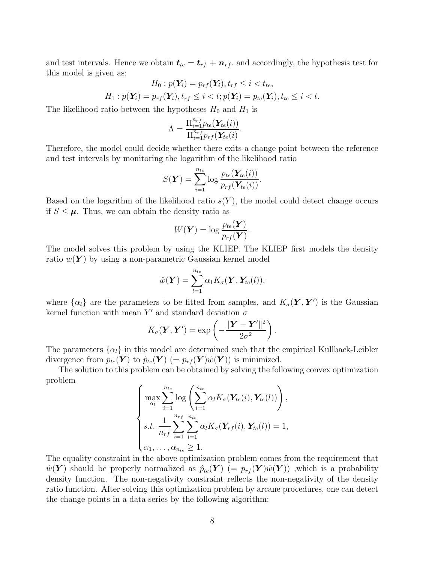and test intervals. Hence we obtain  $t_{te} = t_{rf} + n_{rf}$ , and accordingly, the hypothesis test for this model is given as:

$$
H_0: p(\mathbf{Y}_i) = p_{rf}(\mathbf{Y}_i), t_{rf} \leq i < t_{te},
$$
\n
$$
H_1: p(\mathbf{Y}_i) = p_{rf}(\mathbf{Y}_i), t_{rf} \leq i < t; p(\mathbf{Y}_i) = p_{te}(\mathbf{Y}_i), t_{te} \leq i < t.
$$

The likelihood ratio between the hypotheses  $H_0$  and  $H_1$  is

$$
\Lambda = \frac{\prod_{i=1}^{n_{rf}} p_{te}(\mathbf{Y}_{te}(i))}{\prod_{i=1}^{n_{rf}} p_{rf}(\mathbf{Y}_{te}(i))}.
$$

Therefore, the model could decide whether there exits a change point between the reference and test intervals by monitoring the logarithm of the likelihood ratio

$$
S(\boldsymbol{Y}) = \sum_{i=1}^{n_{te}} \log \frac{p_{te}(\boldsymbol{Y_{te}}(i))}{p_{rf}(\boldsymbol{Y_{te}}(i))}.
$$

Based on the logarithm of the likelihood ratio  $s(Y)$ , the model could detect change occurs if  $S \leq \mu$ . Thus, we can obtain the density ratio as

$$
W(\boldsymbol{Y}) = \log \frac{p_{te}(\boldsymbol{Y})}{p_{rf}(\boldsymbol{Y})}.
$$

The model solves this problem by using the KLIEP. The KLIEP first models the density ratio  $w(Y)$  by using a non-parametric Gaussian kernel model

$$
\hat{w}(\boldsymbol{Y}) = \sum_{l=1}^{n_{te}} \alpha_1 K_{\sigma}(\boldsymbol{Y}, \boldsymbol{Y}_{te}(l)),
$$

where  $\{\alpha_l\}$  are the parameters to be fitted from samples, and  $K_{\sigma}(\boldsymbol{Y}, \boldsymbol{Y}')$  is the Gaussian kernel function with mean Y' and standard deviation  $\sigma$ 

$$
K_{\sigma}(\boldsymbol{Y}, \boldsymbol{Y}') = \exp\left(-\frac{\|\boldsymbol{Y} - \boldsymbol{Y}'\|^2}{2\sigma^2}\right).
$$

The parameters  $\{\alpha_l\}$  in this model are determined such that the empirical Kullback-Leibler divergence from  $p_{te}(\boldsymbol{Y})$  to  $\hat{p}_{te}(\boldsymbol{Y})$  (=  $p_{rf}(\boldsymbol{Y})\hat{w}(\boldsymbol{Y})$ ) is minimized.

The solution to this problem can be obtained by solving the following convex optimization problem

$$
\begin{cases}\n\max_{\alpha_l} \sum_{i=1}^{n_{te}} \log \left( \sum_{l=1}^{n_{te}} \alpha_l K_{\sigma}(\mathbf{Y}_{te}(i), \mathbf{Y}_{te}(l)) \right), \\
s.t. \frac{1}{n_{rf}} \sum_{i=1}^{n_{rf}} \sum_{l=1}^{n_{te}} \alpha_l K_{\sigma}(\mathbf{Y}_{rf}(i), \mathbf{Y}_{te}(l)) = 1, \\
\alpha_1, \ldots, \alpha_{n_{te}} \ge 1.\n\end{cases}
$$

The equality constraint in the above optimization problem comes from the requirement that  $\hat{w}(\bm{Y})$  should be properly normalized as  $\hat{p}_{te}(\bm{Y})$   $(= p_{rf}(\bm{Y})\hat{w}(\bm{Y}))$  , which is a probability density function. The non-negativity constraint reflects the non-negativity of the density ratio function. After solving this optimization problem by arcane procedures, one can detect the change points in a data series by the following algorithm: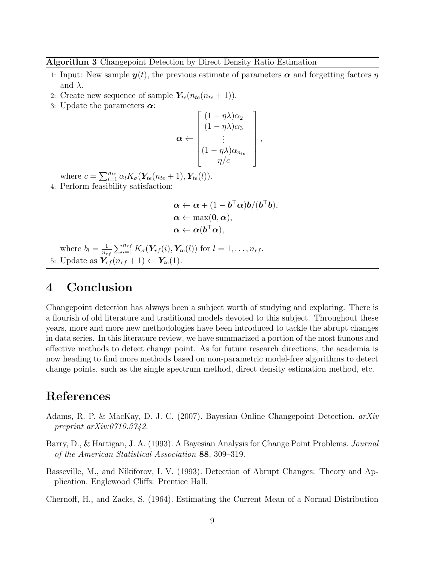#### Algorithm 3 Changepoint Detection by Direct Density Ratio Estimation

- 1: Input: New sample  $y(t)$ , the previous estimate of parameters  $\alpha$  and forgetting factors  $\eta$ and  $\lambda$ .
- 2: Create new sequence of sample  $Y_{te}(n_{te}(n_{te} + 1)).$
- 3: Update the parameters  $\alpha$ :

$$
\boldsymbol{\alpha} \leftarrow \begin{bmatrix} (1 - \eta \lambda) \alpha_2 \\ (1 - \eta \lambda) \alpha_3 \\ \vdots \\ (1 - \eta \lambda) \alpha_{n_{te}} \\ \eta/c \end{bmatrix},
$$

where  $c = \sum_{l=1}^{n_{te}} \alpha_l K_{\sigma}(\mathbf{Y}_{te}(n_{te}+1), \mathbf{Y}_{te}(l)).$ 

4: Perform feasibility satisfaction:

$$
\alpha \leftarrow \alpha + (1 - b^{\top} \alpha) b / (b^{\top} b),
$$
  
\n
$$
\alpha \leftarrow \max(0, \alpha),
$$
  
\n
$$
\alpha \leftarrow \alpha(b^{\top} \alpha),
$$

where  $b_l = \frac{1}{n_a}$  $\frac{1}{n_{rf}} \sum_{i=1}^{n_{rf}} K_{\sigma}(\mathbf{Y}_{rf}(i), \mathbf{Y}_{te}(l))$  for  $l = 1, ..., n_{rf}$ . 5: Update as  $\overrightarrow{\mathbf{Y}_{rf}}(n_{rf}+1) \leftarrow \mathbf{Y}_{te}(1)$ .

## 4 Conclusion

Changepoint detection has always been a subject worth of studying and exploring. There is a flourish of old literature and traditional models devoted to this subject. Throughout these years, more and more new methodologies have been introduced to tackle the abrupt changes in data series. In this literature review, we have summarized a portion of the most famous and effective methods to detect change point. As for future research directions, the academia is now heading to find more methods based on non-parametric model-free algorithms to detect change points, such as the single spectrum method, direct density estimation method, etc.

# References

- <span id="page-8-2"></span>Adams, R. P. & MacKay, D. J. C. (2007). Bayesian Online Changepoint Detection. *arXiv preprint arXiv:0710.3742.*
- <span id="page-8-1"></span>Barry, D., & Hartigan, J. A. (1993). A Bayesian Analysis for Change Point Problems. *Journal of the American Statistical Association* 88, 309–319.
- <span id="page-8-0"></span>Basseville, M., and Nikiforov, I. V. (1993). Detection of Abrupt Changes: Theory and Application. Englewood Cliffs: Prentice Hall.
- Chernoff, H., and Zacks, S. (1964). Estimating the Current Mean of a Normal Distribution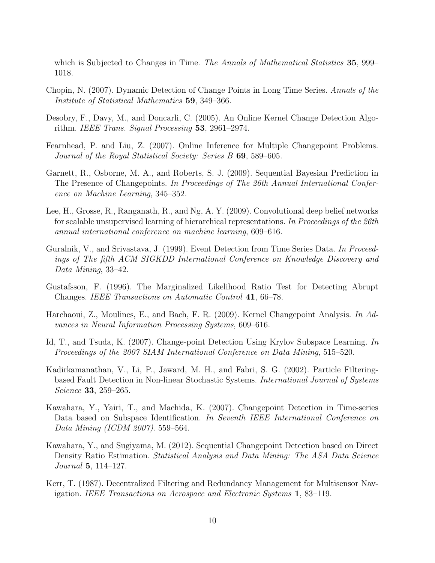which is Subjected to Changes in Time. *The Annals of Mathematical Statistics* 35, 999– 1018.

- Chopin, N. (2007). Dynamic Detection of Change Points in Long Time Series. *Annals of the Institute of Statistical Mathematics* 59, 349–366.
- <span id="page-9-2"></span>Desobry, F., Davy, M., and Doncarli, C. (2005). An Online Kernel Change Detection Algorithm. *IEEE Trans. Signal Processing* 53, 2961–2974.
- Fearnhead, P. and Liu, Z. (2007). Online Inference for Multiple Changepoint Problems. *Journal of the Royal Statistical Society: Series B* 69, 589–605.
- <span id="page-9-4"></span>Garnett, R., Osborne, M. A., and Roberts, S. J. (2009). Sequential Bayesian Prediction in The Presence of Changepoints. *In Proceedings of The 26th Annual International Conference on Machine Learning*, 345–352.
- Lee, H., Grosse, R., Ranganath, R., and Ng, A. Y. (2009). Convolutional deep belief networks for scalable unsupervised learning of hierarchical representations. *In Proceedings of the 26th annual international conference on machine learning*, 609–616.
- Guralnik, V., and Srivastava, J. (1999). Event Detection from Time Series Data. *In Proceedings of The fifth ACM SIGKDD International Conference on Knowledge Discovery and Data Mining*, 33–42.
- <span id="page-9-0"></span>Gustafsson, F. (1996). The Marginalized Likelihood Ratio Test for Detecting Abrupt Changes. *IEEE Transactions on Automatic Control* 41, 66–78.
- <span id="page-9-6"></span>Harchaoui, Z., Moulines, E., and Bach, F. R. (2009). Kernel Changepoint Analysis. *In Advances in Neural Information Processing Systems*, 609–616.
- Id, T., and Tsuda, K. (2007). Change-point Detection Using Krylov Subspace Learning. *In Proceedings of the 2007 SIAM International Conference on Data Mining*, 515–520.
- Kadirkamanathan, V., Li, P., Jaward, M. H., and Fabri, S. G. (2002). Particle Filteringbased Fault Detection in Non-linear Stochastic Systems. *International Journal of Systems Science* 33, 259–265.
- <span id="page-9-5"></span>Kawahara, Y., Yairi, T., and Machida, K. (2007). Changepoint Detection in Time-series Data based on Subspace Identification. *In Seventh IEEE International Conference on Data Mining (ICDM 2007)*. 559–564.
- <span id="page-9-1"></span>Kawahara, Y., and Sugiyama, M. (2012). Sequential Changepoint Detection based on Direct Density Ratio Estimation. *Statistical Analysis and Data Mining: The ASA Data Science Journal* 5, 114–127.
- <span id="page-9-3"></span>Kerr, T. (1987). Decentralized Filtering and Redundancy Management for Multisensor Navigation. *IEEE Transactions on Aerospace and Electronic Systems* 1, 83–119.